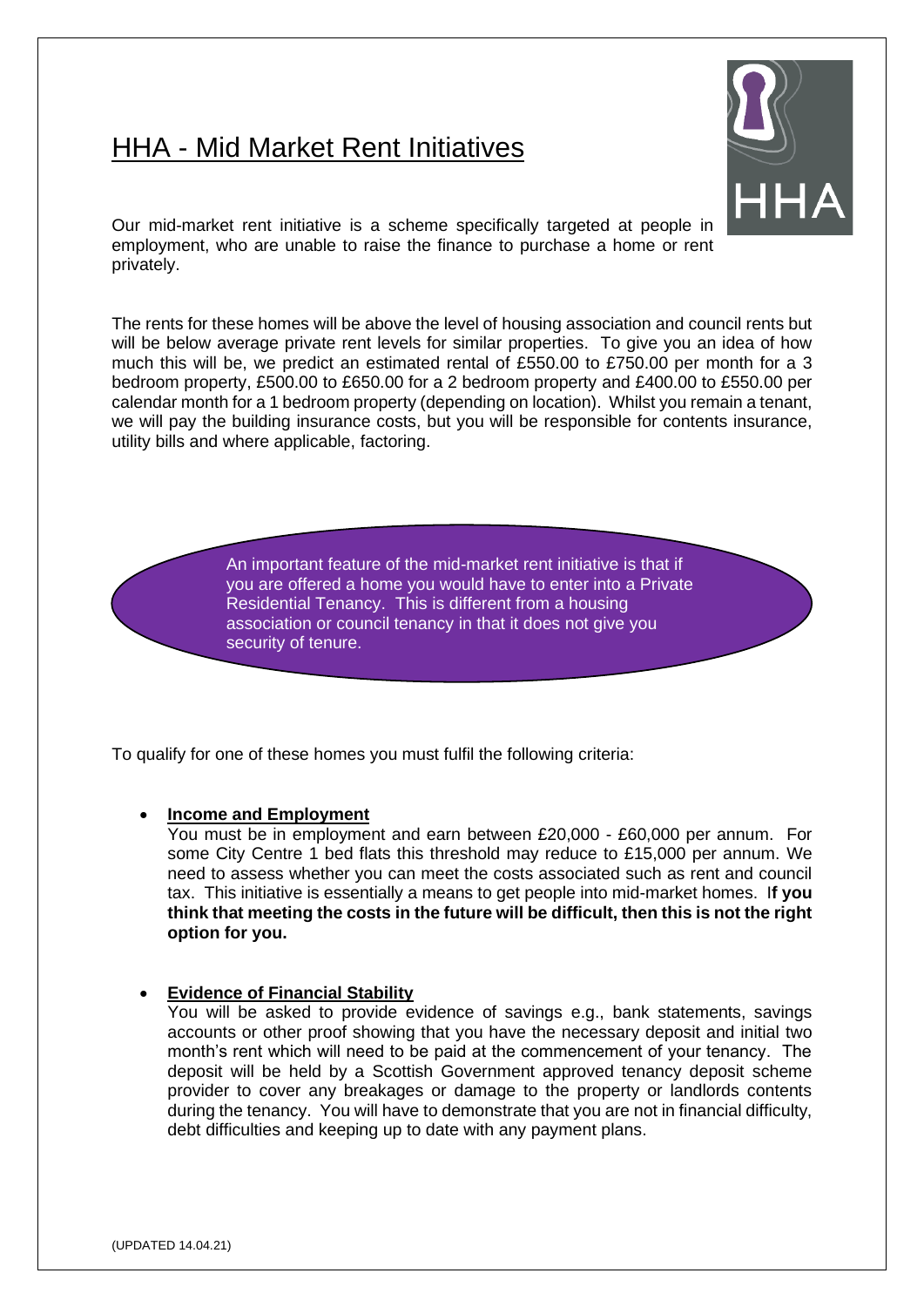## HHA - Mid Market Rent Initiatives



Our mid-market rent initiative is a scheme specifically targeted at people in employment, who are unable to raise the finance to purchase a home or rent privately.

The rents for these homes will be above the level of housing association and council rents but will be below average private rent levels for similar properties. To give you an idea of how much this will be, we predict an estimated rental of £550.00 to £750.00 per month for a 3 bedroom property, £500.00 to £650.00 for a 2 bedroom property and £400.00 to £550.00 per calendar month for a 1 bedroom property (depending on location). Whilst you remain a tenant, we will pay the building insurance costs, but you will be responsible for contents insurance, utility bills and where applicable, factoring.

> An important feature of the mid-market rent initiative is that if you are offered a home you would have to enter into a Private Residential Tenancy. This is different from a housing association or council tenancy in that it does not give you security of tenure.

To qualify for one of these homes you must fulfil the following criteria:

## • **Income and Employment**

You must be in employment and earn between £20,000 - £60,000 per annum. For some City Centre 1 bed flats this threshold may reduce to £15,000 per annum. We need to assess whether you can meet the costs associated such as rent and council tax. This initiative is essentially a means to get people into mid-market homes. I**f you think that meeting the costs in the future will be difficult, then this is not the right option for you.**

## • **Evidence of Financial Stability**

You will be asked to provide evidence of savings e.g., bank statements, savings accounts or other proof showing that you have the necessary deposit and initial two month's rent which will need to be paid at the commencement of your tenancy. The deposit will be held by a Scottish Government approved tenancy deposit scheme provider to cover any breakages or damage to the property or landlords contents during the tenancy. You will have to demonstrate that you are not in financial difficulty, debt difficulties and keeping up to date with any payment plans.